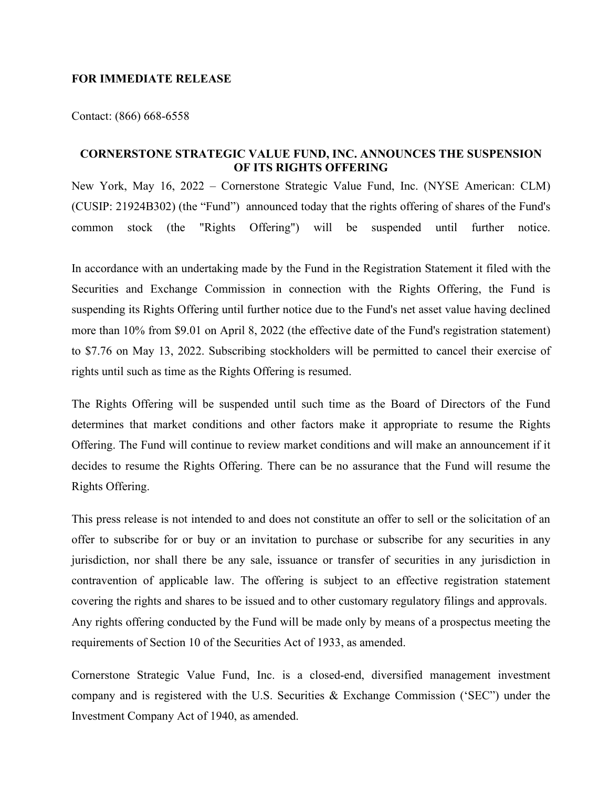## **FOR IMMEDIATE RELEASE**

Contact: (866) 668-6558

## **CORNERSTONE STRATEGIC VALUE FUND, INC. ANNOUNCES THE SUSPENSION OF ITS RIGHTS OFFERING**

New York, May 16, 2022 – Cornerstone Strategic Value Fund, Inc. (NYSE American: CLM) (CUSIP: 21924B302) (the "Fund") announced today that the rights offering of shares of the Fund's common stock (the "Rights Offering") will be suspended until further notice.

In accordance with an undertaking made by the Fund in the Registration Statement it filed with the Securities and Exchange Commission in connection with the Rights Offering, the Fund is suspending its Rights Offering until further notice due to the Fund's net asset value having declined more than 10% from \$9.01 on April 8, 2022 (the effective date of the Fund's registration statement) to \$7.76 on May 13, 2022. Subscribing stockholders will be permitted to cancel their exercise of rights until such as time as the Rights Offering is resumed.

The Rights Offering will be suspended until such time as the Board of Directors of the Fund determines that market conditions and other factors make it appropriate to resume the Rights Offering. The Fund will continue to review market conditions and will make an announcement if it decides to resume the Rights Offering. There can be no assurance that the Fund will resume the Rights Offering.

This press release is not intended to and does not constitute an offer to sell or the solicitation of an offer to subscribe for or buy or an invitation to purchase or subscribe for any securities in any jurisdiction, nor shall there be any sale, issuance or transfer of securities in any jurisdiction in contravention of applicable law. The offering is subject to an effective registration statement covering the rights and shares to be issued and to other customary regulatory filings and approvals. Any rights offering conducted by the Fund will be made only by means of a prospectus meeting the requirements of Section 10 of the Securities Act of 1933, as amended.

Cornerstone Strategic Value Fund, Inc. is a closed-end, diversified management investment company and is registered with the U.S. Securities & Exchange Commission ('SEC") under the Investment Company Act of 1940, as amended.